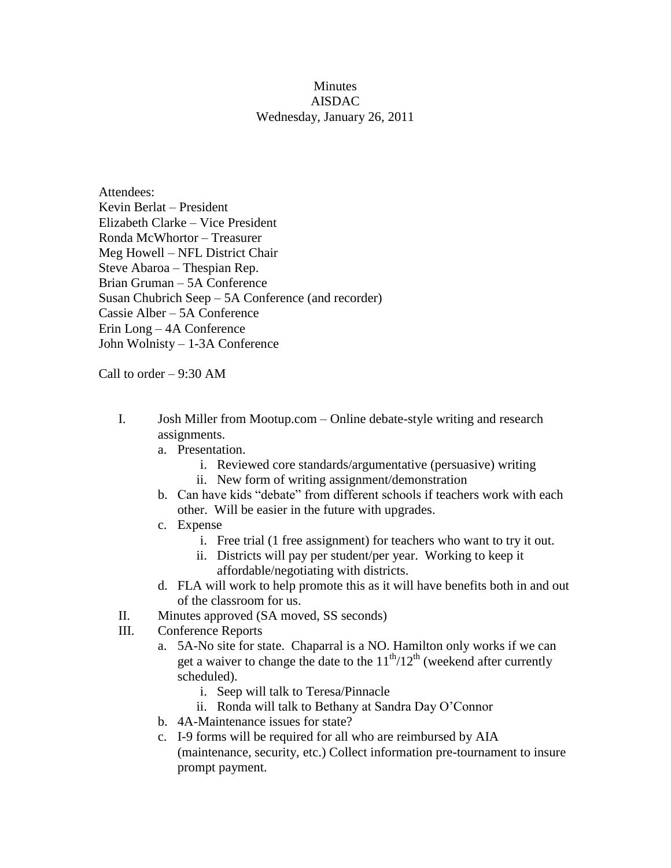## **Minutes** AISDAC Wednesday, January 26, 2011

Attendees: Kevin Berlat – President Elizabeth Clarke – Vice President Ronda McWhortor – Treasurer Meg Howell – NFL District Chair Steve Abaroa – Thespian Rep. Brian Gruman – 5A Conference Susan Chubrich Seep – 5A Conference (and recorder) Cassie Alber – 5A Conference Erin Long – 4A Conference John Wolnisty – 1-3A Conference

Call to order – 9:30 AM

- I. Josh Miller from Mootup.com Online debate-style writing and research assignments.
	- a. Presentation.
		- i. Reviewed core standards/argumentative (persuasive) writing
		- ii. New form of writing assignment/demonstration
	- b. Can have kids "debate" from different schools if teachers work with each other. Will be easier in the future with upgrades.
	- c. Expense
		- i. Free trial (1 free assignment) for teachers who want to try it out.
		- ii. Districts will pay per student/per year. Working to keep it affordable/negotiating with districts.
	- d. FLA will work to help promote this as it will have benefits both in and out of the classroom for us.
- II. Minutes approved (SA moved, SS seconds)
- III. Conference Reports
	- a. 5A-No site for state. Chaparral is a NO. Hamilton only works if we can get a waiver to change the date to the  $11<sup>th</sup>/12<sup>th</sup>$  (weekend after currently scheduled).
		- i. Seep will talk to Teresa/Pinnacle
		- ii. Ronda will talk to Bethany at Sandra Day O'Connor
	- b. 4A-Maintenance issues for state?
	- c. I-9 forms will be required for all who are reimbursed by AIA (maintenance, security, etc.) Collect information pre-tournament to insure prompt payment.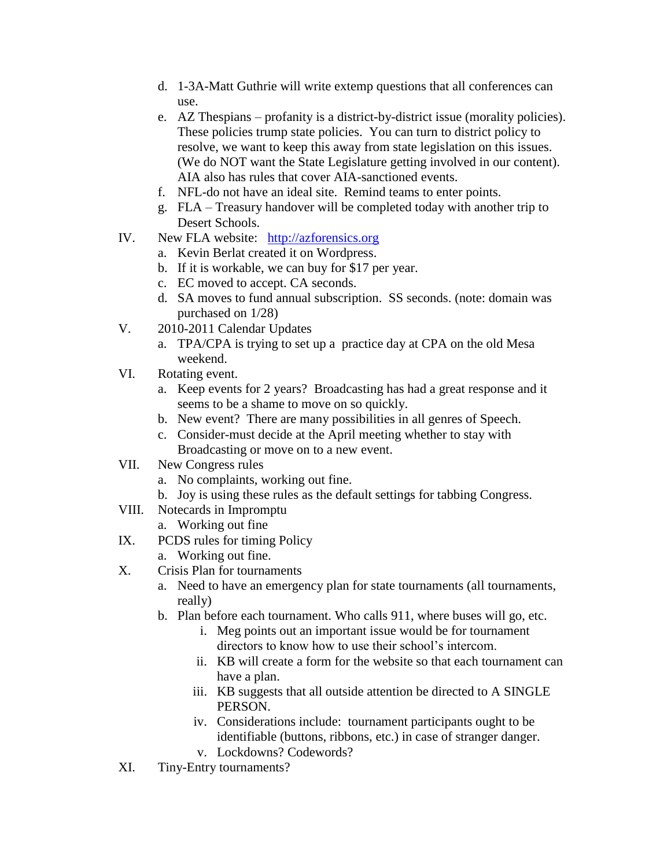- d. 1-3A-Matt Guthrie will write extemp questions that all conferences can use.
- e. AZ Thespians profanity is a district-by-district issue (morality policies). These policies trump state policies. You can turn to district policy to resolve, we want to keep this away from state legislation on this issues. (We do NOT want the State Legislature getting involved in our content). AIA also has rules that cover AIA-sanctioned events.
- f. NFL-do not have an ideal site. Remind teams to enter points.
- g. FLA Treasury handover will be completed today with another trip to Desert Schools.
- IV. New FLA website: [http://azforensics.org](http://azforensics.org/)
	- a. Kevin Berlat created it on Wordpress.
	- b. If it is workable, we can buy for \$17 per year.
	- c. EC moved to accept. CA seconds.
	- d. SA moves to fund annual subscription. SS seconds. (note: domain was purchased on 1/28)
- V. 2010-2011 Calendar Updates
	- a. TPA/CPA is trying to set up a practice day at CPA on the old Mesa weekend.
- VI. Rotating event.
	- a. Keep events for 2 years? Broadcasting has had a great response and it seems to be a shame to move on so quickly.
	- b. New event? There are many possibilities in all genres of Speech.
	- c. Consider-must decide at the April meeting whether to stay with Broadcasting or move on to a new event.
- VII. New Congress rules
	- a. No complaints, working out fine.
	- b. Joy is using these rules as the default settings for tabbing Congress.
- VIII. Notecards in Impromptu
	- a. Working out fine
- IX. PCDS rules for timing Policy
	- a. Working out fine.
- X. Crisis Plan for tournaments
	- a. Need to have an emergency plan for state tournaments (all tournaments, really)
	- b. Plan before each tournament. Who calls 911, where buses will go, etc.
		- i. Meg points out an important issue would be for tournament directors to know how to use their school's intercom.
		- ii. KB will create a form for the website so that each tournament can have a plan.
		- iii. KB suggests that all outside attention be directed to A SINGLE PERSON.
		- iv. Considerations include: tournament participants ought to be identifiable (buttons, ribbons, etc.) in case of stranger danger.
		- v. Lockdowns? Codewords?
- XI. Tiny-Entry tournaments?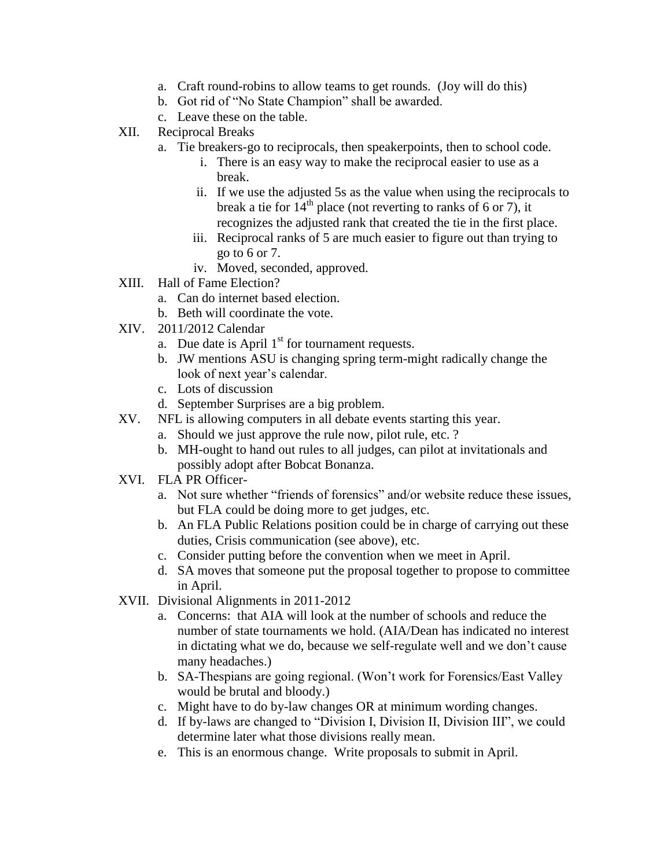- a. Craft round-robins to allow teams to get rounds. (Joy will do this)
- b. Got rid of "No State Champion" shall be awarded.
- c. Leave these on the table.
- XII. Reciprocal Breaks
	- a. Tie breakers-go to reciprocals, then speakerpoints, then to school code.
		- i. There is an easy way to make the reciprocal easier to use as a break.
		- ii. If we use the adjusted 5s as the value when using the reciprocals to break a tie for  $14<sup>th</sup>$  place (not reverting to ranks of 6 or 7), it recognizes the adjusted rank that created the tie in the first place.
		- iii. Reciprocal ranks of 5 are much easier to figure out than trying to go to 6 or 7.
		- iv. Moved, seconded, approved.
- XIII. Hall of Fame Election?
	- a. Can do internet based election.
	- b. Beth will coordinate the vote.
- XIV. 2011/2012 Calendar
	- a. Due date is April  $1<sup>st</sup>$  for tournament requests.
	- b. JW mentions ASU is changing spring term-might radically change the look of next year's calendar.
	- c. Lots of discussion
	- d. September Surprises are a big problem.
- XV. NFL is allowing computers in all debate events starting this year.
	- a. Should we just approve the rule now, pilot rule, etc. ?
	- b. MH-ought to hand out rules to all judges, can pilot at invitationals and possibly adopt after Bobcat Bonanza.
- XVI. FLA PR Officer
	- a. Not sure whether "friends of forensics" and/or website reduce these issues, but FLA could be doing more to get judges, etc.
	- b. An FLA Public Relations position could be in charge of carrying out these duties, Crisis communication (see above), etc.
	- c. Consider putting before the convention when we meet in April.
	- d. SA moves that someone put the proposal together to propose to committee in April.
- XVII. Divisional Alignments in 2011-2012
	- a. Concerns: that AIA will look at the number of schools and reduce the number of state tournaments we hold. (AIA/Dean has indicated no interest in dictating what we do, because we self-regulate well and we don't cause many headaches.)
	- b. SA-Thespians are going regional. (Won't work for Forensics/East Valley would be brutal and bloody.)
	- c. Might have to do by-law changes OR at minimum wording changes.
	- d. If by-laws are changed to "Division I, Division II, Division III", we could determine later what those divisions really mean.
	- e. This is an enormous change. Write proposals to submit in April.